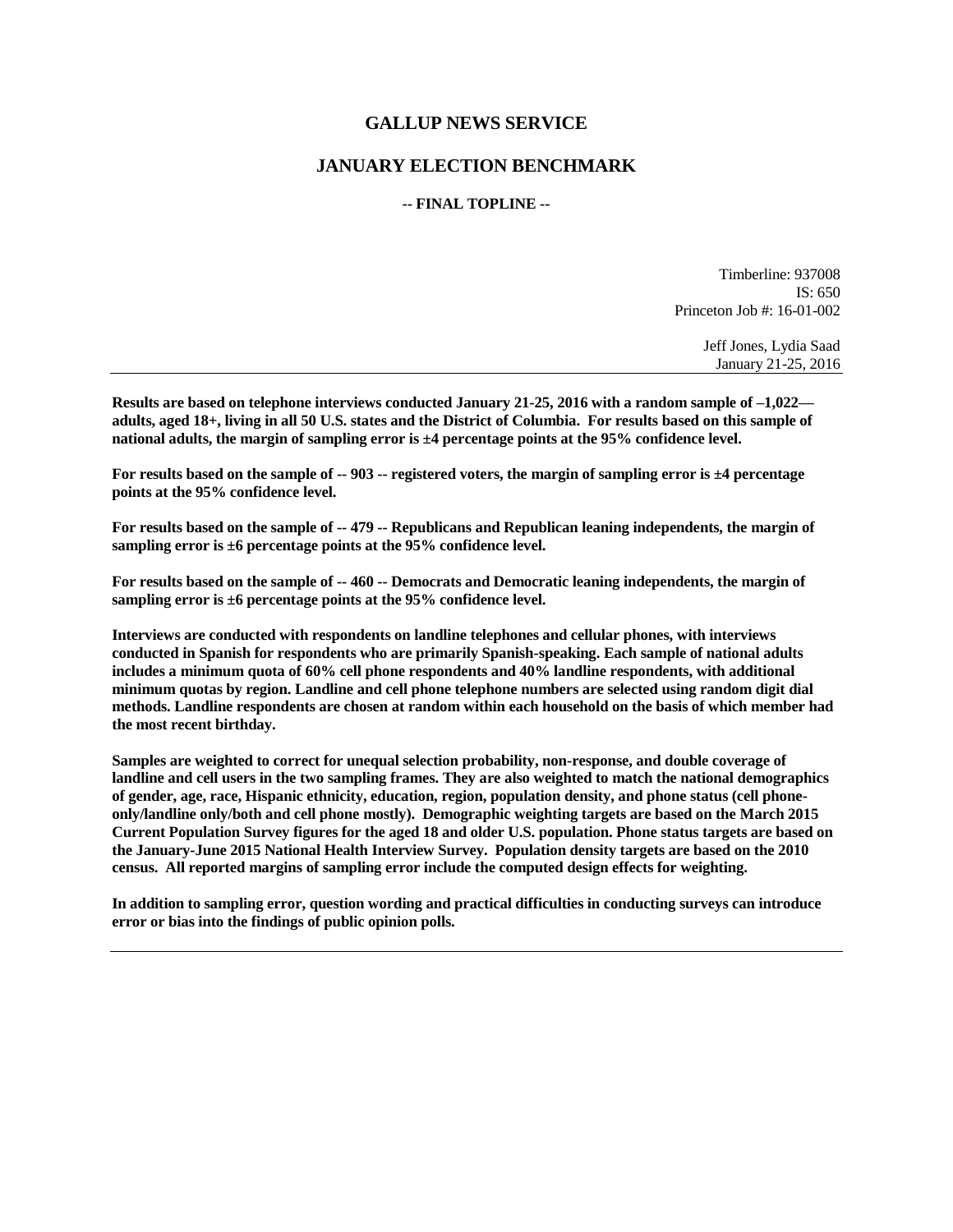## **GALLUP NEWS SERVICE**

## **JANUARY ELECTION BENCHMARK**

## **-- FINAL TOPLINE --**

Timberline: 937008 IS: 650 Princeton Job #: 16-01-002

> Jeff Jones, Lydia Saad January 21-25, 2016

**Results are based on telephone interviews conducted January 21-25, 2016 with a random sample of –1,022 adults, aged 18+, living in all 50 U.S. states and the District of Columbia. For results based on this sample of national adults, the margin of sampling error is ±4 percentage points at the 95% confidence level.** 

**For results based on the sample of -- 903 -- registered voters, the margin of sampling error is ±4 percentage points at the 95% confidence level.** 

**For results based on the sample of -- 479 -- Republicans and Republican leaning independents, the margin of sampling error is ±6 percentage points at the 95% confidence level.** 

**For results based on the sample of -- 460 -- Democrats and Democratic leaning independents, the margin of sampling error is ±6 percentage points at the 95% confidence level.** 

**Interviews are conducted with respondents on landline telephones and cellular phones, with interviews conducted in Spanish for respondents who are primarily Spanish-speaking. Each sample of national adults includes a minimum quota of 60% cell phone respondents and 40% landline respondents, with additional minimum quotas by region. Landline and cell phone telephone numbers are selected using random digit dial methods. Landline respondents are chosen at random within each household on the basis of which member had the most recent birthday.**

**Samples are weighted to correct for unequal selection probability, non-response, and double coverage of landline and cell users in the two sampling frames. They are also weighted to match the national demographics of gender, age, race, Hispanic ethnicity, education, region, population density, and phone status (cell phoneonly/landline only/both and cell phone mostly). Demographic weighting targets are based on the March 2015 Current Population Survey figures for the aged 18 and older U.S. population. Phone status targets are based on the January-June 2015 National Health Interview Survey. Population density targets are based on the 2010 census. All reported margins of sampling error include the computed design effects for weighting.** 

**In addition to sampling error, question wording and practical difficulties in conducting surveys can introduce error or bias into the findings of public opinion polls.**